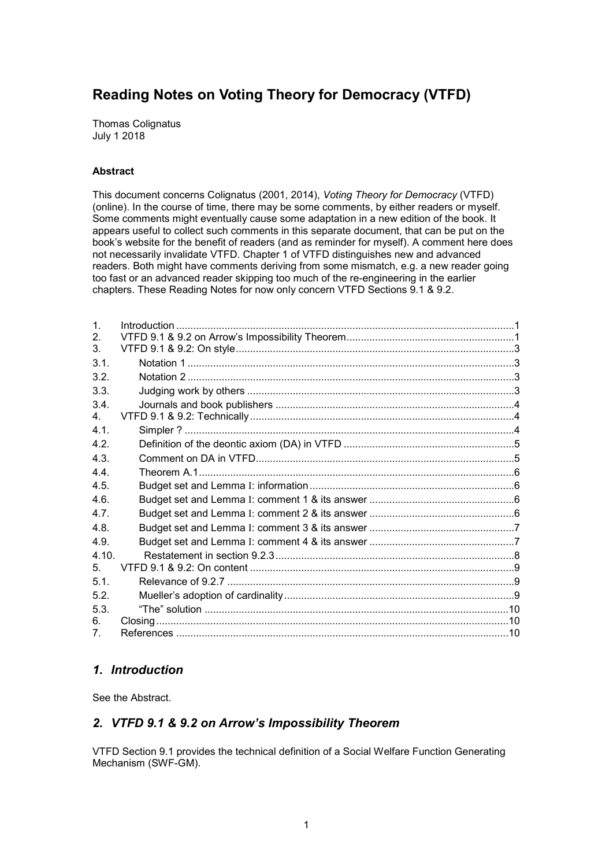# **Reading Notes on Voting Theory for Democracy (VTFD)**

Thomas Colignatus July 1 2018

#### **Abstract**

This document concerns Colignatus (2001, 2014), *Voting Theory for Democracy* (VTFD) (online). In the course of time, there may be some comments, by either readers or myself. Some comments might eventually cause some adaptation in a new edition of the book. It appears useful to collect such comments in this separate document, that can be put on the book's website for the benefit of readers (and as reminder for myself). A comment here does not necessarily invalidate VTFD. Chapter 1 of VTFD distinguishes new and advanced readers. Both might have comments deriving from some mismatch, e.g. a new reader going too fast or an advanced reader skipping too much of the re-engineering in the earlier chapters. These Reading Notes for now only concern VTFD Sections 9.1 & 9.2.

| $\mathbf{1}$ . |  |
|----------------|--|
| 2.             |  |
| 3.             |  |
| 3.1.           |  |
| 3.2.           |  |
| 3.3.           |  |
| 3.4.           |  |
| $4_{-}$        |  |
| 4 1            |  |
| 4.2.           |  |
| 4.3.           |  |
| 4.4.           |  |
| 4.5.           |  |
| 4.6.           |  |
| 4.7.           |  |
| 4.8.           |  |
| 4.9.           |  |
| 4.10.          |  |
| 5.             |  |
| 5.1.           |  |
| 5.2.           |  |
| 5.3.           |  |
| 6.             |  |
| 7 <sub>1</sub> |  |

## *1. Introduction*

See the Abstract.

## *2. VTFD 9.1 & 9.2 on Arrow's Impossibility Theorem*

VTFD Section 9.1 provides the technical definition of a Social Welfare Function Generating Mechanism (SWF-GM).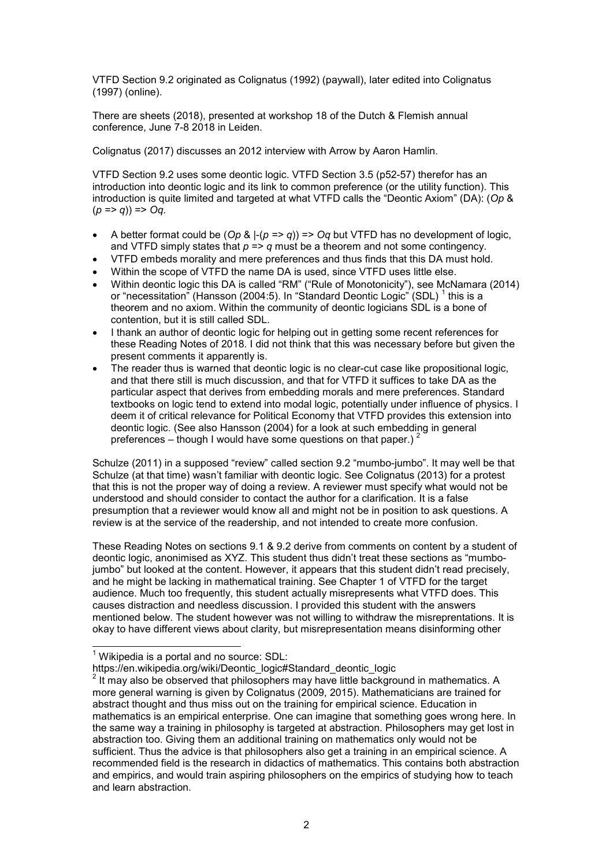VTFD Section 9.2 originated as Colignatus (1992) (paywall), later edited into Colignatus (1997) (online).

There are sheets (2018), presented at workshop 18 of the Dutch & Flemish annual conference, June 7-8 2018 in Leiden.

Colignatus (2017) discusses an 2012 interview with Arrow by Aaron Hamlin.

VTFD Section 9.2 uses some deontic logic. VTFD Section 3.5 (p52-57) therefor has an introduction into deontic logic and its link to common preference (or the utility function). This introduction is quite limited and targeted at what VTFD calls the "Deontic Axiom" (DA): (*Op* &  $(p \Rightarrow q)$  => Oq.

- A better format could be  $(\mathcal{O}_p \& |-(p \Rightarrow q)) \Rightarrow \mathcal{O}_q$  but VTFD has no development of logic, and VTFD simply states that  $p = a$  must be a theorem and not some contingency.
- VTFD embeds morality and mere preferences and thus finds that this DA must hold.
- Within the scope of VTFD the name DA is used, since VTFD uses little else.
- Within deontic logic this DA is called "RM" ("Rule of Monotonicity"), see McNamara (2014) or "necessitation" (Hansson (2004:5). In "Standard Deontic Logic" (SDL) <sup>1</sup> this is a theorem and no axiom. Within the community of deontic logicians SDL is a bone of contention, but it is still called SDL.
- I thank an author of deontic logic for helping out in getting some recent references for these Reading Notes of 2018. I did not think that this was necessary before but given the present comments it apparently is.
- The reader thus is warned that deontic logic is no clear-cut case like propositional logic, and that there still is much discussion, and that for VTFD it suffices to take DA as the particular aspect that derives from embedding morals and mere preferences. Standard textbooks on logic tend to extend into modal logic, potentially under influence of physics. I deem it of critical relevance for Political Economy that VTFD provides this extension into deontic logic. (See also Hansson (2004) for a look at such embedding in general preferences – though I would have some questions on that paper.) <sup>2</sup>

Schulze (2011) in a supposed "review" called section 9.2 "mumbo-jumbo". It may well be that Schulze (at that time) wasn't familiar with deontic logic. See Colignatus (2013) for a protest that this is not the proper way of doing a review. A reviewer must specify what would not be understood and should consider to contact the author for a clarification. It is a false presumption that a reviewer would know all and might not be in position to ask questions. A review is at the service of the readership, and not intended to create more confusion.

These Reading Notes on sections 9.1 & 9.2 derive from comments on content by a student of deontic logic, anonimised as XYZ. This student thus didn't treat these sections as "mumbojumbo" but looked at the content. However, it appears that this student didn't read precisely, and he might be lacking in mathematical training. See Chapter 1 of VTFD for the target audience. Much too frequently, this student actually misrepresents what VTFD does. This causes distraction and needless discussion. I provided this student with the answers mentioned below. The student however was not willing to withdraw the misreprentations. It is okay to have different views about clarity, but misrepresentation means disinforming other

 1 Wikipedia is a portal and no source: SDL:

https://en.wikipedia.org/wiki/Deontic\_logic#Standard\_deontic\_logic

<sup>2</sup> It may also be observed that philosophers may have little background in mathematics. A more general warning is given by Colignatus (2009, 2015). Mathematicians are trained for abstract thought and thus miss out on the training for empirical science. Education in mathematics is an empirical enterprise. One can imagine that something goes wrong here. In the same way a training in philosophy is targeted at abstraction. Philosophers may get lost in abstraction too. Giving them an additional training on mathematics only would not be sufficient. Thus the advice is that philosophers also get a training in an empirical science. A recommended field is the research in didactics of mathematics. This contains both abstraction and empirics, and would train aspiring philosophers on the empirics of studying how to teach and learn abstraction.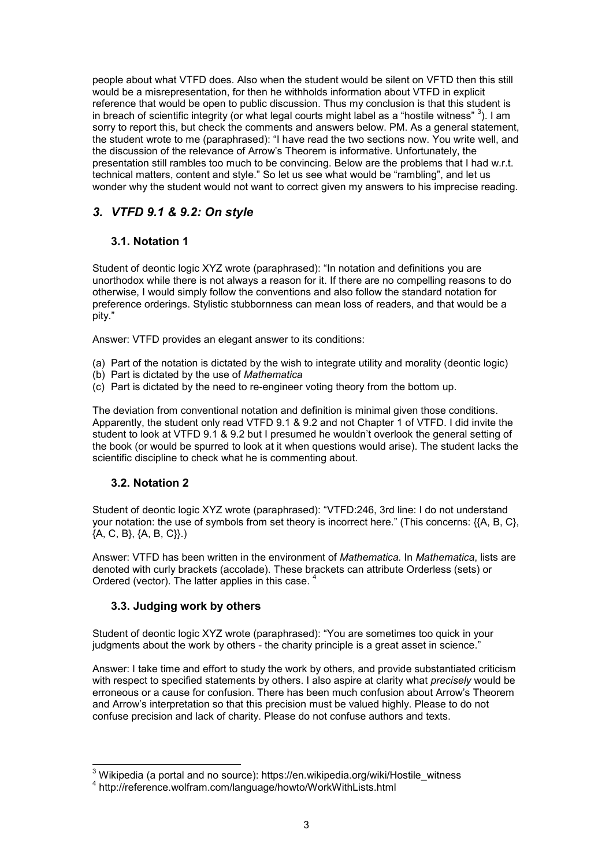people about what VTFD does. Also when the student would be silent on VFTD then this still would be a misrepresentation, for then he withholds information about VTFD in explicit reference that would be open to public discussion. Thus my conclusion is that this student is in breach of scientific integrity (or what legal courts might label as a "hostile witness"  $^3$ ). I am sorry to report this, but check the comments and answers below. PM. As a general statement, the student wrote to me (paraphrased): "I have read the two sections now. You write well, and the discussion of the relevance of Arrow's Theorem is informative. Unfortunately, the presentation still rambles too much to be convincing. Below are the problems that I had w.r.t. technical matters, content and style." So let us see what would be "rambling", and let us wonder why the student would not want to correct given my answers to his imprecise reading.

## *3. VTFD 9.1 & 9.2: On style*

## **3.1. Notation 1**

Student of deontic logic XYZ wrote (paraphrased): "In notation and definitions you are unorthodox while there is not always a reason for it. If there are no compelling reasons to do otherwise, I would simply follow the conventions and also follow the standard notation for preference orderings. Stylistic stubbornness can mean loss of readers, and that would be a pity."

Answer: VTFD provides an elegant answer to its conditions:

- (a) Part of the notation is dictated by the wish to integrate utility and morality (deontic logic)
- (b) Part is dictated by the use of *Mathematica*
- (c) Part is dictated by the need to re-engineer voting theory from the bottom up.

The deviation from conventional notation and definition is minimal given those conditions. Apparently, the student only read VTFD 9.1 & 9.2 and not Chapter 1 of VTFD. I did invite the student to look at VTFD 9.1 & 9.2 but I presumed he wouldn't overlook the general setting of the book (or would be spurred to look at it when questions would arise). The student lacks the scientific discipline to check what he is commenting about.

## **3.2. Notation 2**

Student of deontic logic XYZ wrote (paraphrased): "VTFD:246, 3rd line: I do not understand your notation: the use of symbols from set theory is incorrect here." (This concerns: {{A, B, C}, {A, C, B}, {A, B, C}}.)

Answer: VTFD has been written in the environment of *Mathematica.* In *Mathematica*, lists are denoted with curly brackets (accolade). These brackets can attribute Orderless (sets) or Ordered (vector). The latter applies in this case. <sup>4</sup>

## **3.3. Judging work by others**

Student of deontic logic XYZ wrote (paraphrased): "You are sometimes too quick in your judgments about the work by others - the charity principle is a great asset in science."

Answer: I take time and effort to study the work by others, and provide substantiated criticism with respect to specified statements by others. I also aspire at clarity what *precisely* would be erroneous or a cause for confusion. There has been much confusion about Arrow's Theorem and Arrow's interpretation so that this precision must be valued highly. Please to do not confuse precision and lack of charity. Please do not confuse authors and texts.

 3 Wikipedia (a portal and no source): https://en.wikipedia.org/wiki/Hostile\_witness

<sup>4</sup> http://reference.wolfram.com/language/howto/WorkWithLists.html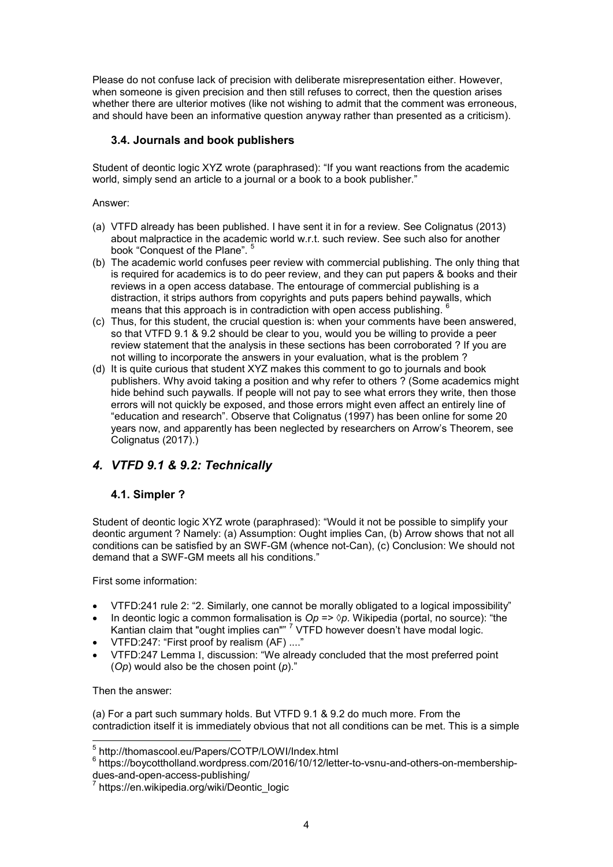Please do not confuse lack of precision with deliberate misrepresentation either. However, when someone is given precision and then still refuses to correct, then the question arises whether there are ulterior motives (like not wishing to admit that the comment was erroneous, and should have been an informative question anyway rather than presented as a criticism).

## **3.4. Journals and book publishers**

Student of deontic logic XYZ wrote (paraphrased): "If you want reactions from the academic world, simply send an article to a journal or a book to a book publisher."

#### Answer:

- (a) VTFD already has been published. I have sent it in for a review. See Colignatus (2013) about malpractice in the academic world w.r.t. such review. See such also for another book "Conquest of the Plane". <sup>5</sup>
- (b) The academic world confuses peer review with commercial publishing. The only thing that is required for academics is to do peer review, and they can put papers & books and their reviews in a open access database. The entourage of commercial publishing is a distraction, it strips authors from copyrights and puts papers behind paywalls, which means that this approach is in contradiction with open access publishing. <sup>6</sup>
- (c) Thus, for this student, the crucial question is: when your comments have been answered, so that VTFD 9.1 & 9.2 should be clear to you, would you be willing to provide a peer review statement that the analysis in these sections has been corroborated ? If you are not willing to incorporate the answers in your evaluation, what is the problem ?
- (d) It is quite curious that student XYZ makes this comment to go to journals and book publishers. Why avoid taking a position and why refer to others ? (Some academics might hide behind such paywalls. If people will not pay to see what errors they write, then those errors will not quickly be exposed, and those errors might even affect an entirely line of "education and research". Observe that Colignatus (1997) has been online for some 20 years now, and apparently has been neglected by researchers on Arrow's Theorem, see Colignatus (2017).)

## *4. VTFD 9.1 & 9.2: Technically*

## **4.1. Simpler ?**

Student of deontic logic XYZ wrote (paraphrased): "Would it not be possible to simplify your deontic argument ? Namely: (a) Assumption: Ought implies Can, (b) Arrow shows that not all conditions can be satisfied by an SWF-GM (whence not-Can), (c) Conclusion: We should not demand that a SWF-GM meets all his conditions."

First some information:

- VTFD:241 rule 2: "2. Similarly, one cannot be morally obligated to a logical impossibility"
- In deontic logic a common formalisation is  $Op \Rightarrow \Diamond p$ . Wikipedia (portal, no source): "the Kantian claim that "ought implies can""  $^7$  VTFD however doesn't have modal logic.
- VTFD:247: "First proof by realism (AF) ...."
- VTFD:247 Lemma I, discussion: "We already concluded that the most preferred point (*Op*) would also be the chosen point (*p*)."

Then the answer:

(a) For a part such summary holds. But VTFD 9.1 & 9.2 do much more. From the contradiction itself it is immediately obvious that not all conditions can be met. This is a simple

 5 http://thomascool.eu/Papers/COTP/LOWI/Index.html

 $^6$  https://boycottholland.wordpress.com/2016/10/12/letter-to-vsnu-and-others-on-membershipdues-and-open-access-publishing/

<sup>7</sup> https://en.wikipedia.org/wiki/Deontic\_logic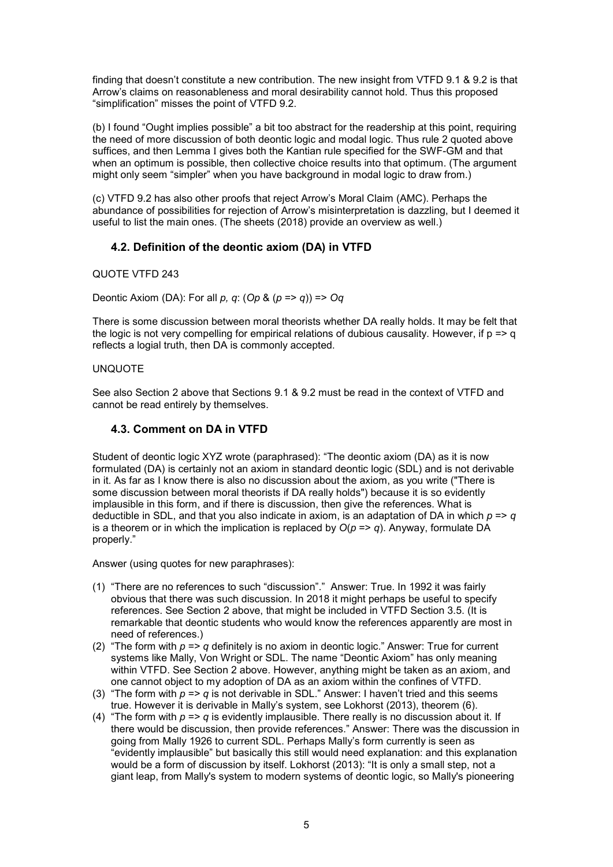finding that doesn't constitute a new contribution. The new insight from VTFD 9.1 & 9.2 is that Arrow's claims on reasonableness and moral desirability cannot hold. Thus this proposed "simplification" misses the point of VTFD 9.2.

(b) I found "Ought implies possible" a bit too abstract for the readership at this point, requiring the need of more discussion of both deontic logic and modal logic. Thus rule 2 quoted above suffices, and then Lemma I gives both the Kantian rule specified for the SWF-GM and that when an optimum is possible, then collective choice results into that optimum. (The argument might only seem "simpler" when you have background in modal logic to draw from.)

(c) VTFD 9.2 has also other proofs that reject Arrow's Moral Claim (AMC). Perhaps the abundance of possibilities for rejection of Arrow's misinterpretation is dazzling, but I deemed it useful to list the main ones. (The sheets (2018) provide an overview as well.)

## **4.2. Definition of the deontic axiom (DA) in VTFD**

#### QUOTE VTFD 243

Deontic Axiom (DA): For all *p, q*: (*Op* & (*p* => *q*)) => *Oq*

There is some discussion between moral theorists whether DA really holds. It may be felt that the logic is not very compelling for empirical relations of dubious causality. However, if  $p \Rightarrow q$ reflects a logial truth, then DA is commonly accepted.

#### UNQUOTE

See also Section 2 above that Sections 9.1 & 9.2 must be read in the context of VTFD and cannot be read entirely by themselves.

## **4.3. Comment on DA in VTFD**

Student of deontic logic XYZ wrote (paraphrased): "The deontic axiom (DA) as it is now formulated (DA) is certainly not an axiom in standard deontic logic (SDL) and is not derivable in it. As far as I know there is also no discussion about the axiom, as you write ("There is some discussion between moral theorists if DA really holds") because it is so evidently implausible in this form, and if there is discussion, then give the references. What is deductible in SDL, and that you also indicate in axiom, is an adaptation of DA in which *p* => *q* is a theorem or in which the implication is replaced by  $O(p \Rightarrow q)$ . Anyway, formulate DA properly."

Answer (using quotes for new paraphrases):

- (1) "There are no references to such "discussion"." Answer: True. In 1992 it was fairly obvious that there was such discussion. In 2018 it might perhaps be useful to specify references. See Section 2 above, that might be included in VTFD Section 3.5. (It is remarkable that deontic students who would know the references apparently are most in need of references.)
- (2) "The form with *p* => *q* definitely is no axiom in deontic logic." Answer: True for current systems like Mally, Von Wright or SDL. The name "Deontic Axiom" has only meaning within VTFD. See Section 2 above. However, anything might be taken as an axiom, and one cannot object to my adoption of DA as an axiom within the confines of VTFD.
- (3) "The form with  $p \Rightarrow q$  is not derivable in SDL." Answer: I haven't tried and this seems true. However it is derivable in Mally's system, see Lokhorst (2013), theorem (6).
- (4) "The form with  $p \equiv 2q$  is evidently implausible. There really is no discussion about it. If there would be discussion, then provide references." Answer: There was the discussion in going from Mally 1926 to current SDL. Perhaps Mally's form currently is seen as "evidently implausible" but basically this still would need explanation: and this explanation would be a form of discussion by itself. Lokhorst (2013): "It is only a small step, not a giant leap, from Mally's system to modern systems of deontic logic, so Mally's pioneering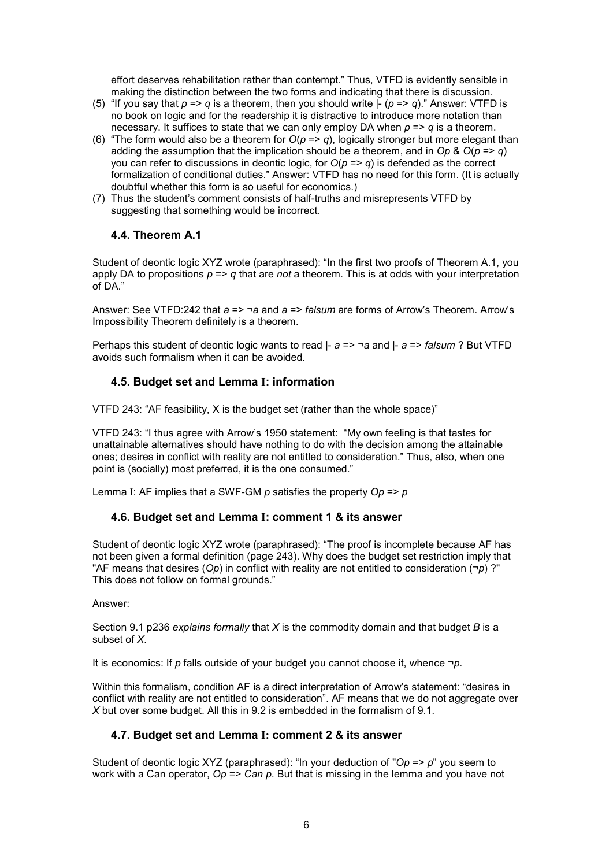effort deserves rehabilitation rather than contempt." Thus, VTFD is evidently sensible in making the distinction between the two forms and indicating that there is discussion.

- (5) "If you say that  $p \Rightarrow q$  is a theorem, then you should write  $\frac{1}{2}$  ( $p \Rightarrow q$ )." Answer: VTFD is no book on logic and for the readership it is distractive to introduce more notation than necessary. It suffices to state that we can only employ DA when *p* => *q* is a theorem.
- (6) "The form would also be a theorem for  $O(p \Rightarrow q)$ , logically stronger but more elegant than adding the assumption that the implication should be a theorem, and in Op &  $O(p \Rightarrow q)$ you can refer to discussions in deontic logic, for *O*(*p* => *q*) is defended as the correct formalization of conditional duties." Answer: VTFD has no need for this form. (It is actually doubtful whether this form is so useful for economics.)
- (7) Thus the student's comment consists of half-truths and misrepresents VTFD by suggesting that something would be incorrect.

## **4.4. Theorem A.1**

Student of deontic logic XYZ wrote (paraphrased): "In the first two proofs of Theorem A.1, you apply DA to propositions  $p \Rightarrow q$  that are *not* a theorem. This is at odds with your interpretation of DA."

Answer: See VTFD:242 that *a* => ¬*a* and *a* => *falsum* are forms of Arrow's Theorem. Arrow's Impossibility Theorem definitely is a theorem.

Perhaps this student of deontic logic wants to read |- *a* => ¬*a* and |- *a* => *falsum* ? But VTFD avoids such formalism when it can be avoided.

#### **4.5. Budget set and Lemma I: information**

VTFD 243: "AF feasibility, X is the budget set (rather than the whole space)"

VTFD 243: "I thus agree with Arrow's 1950 statement: "My own feeling is that tastes for unattainable alternatives should have nothing to do with the decision among the attainable ones; desires in conflict with reality are not entitled to consideration." Thus, also, when one point is (socially) most preferred, it is the one consumed."

Lemma I: AF implies that a SWF-GM *p* satisfies the property *Op* => *p*

#### **4.6. Budget set and Lemma I: comment 1 & its answer**

Student of deontic logic XYZ wrote (paraphrased): "The proof is incomplete because AF has not been given a formal definition (page 243). Why does the budget set restriction imply that "AF means that desires (*Op*) in conflict with reality are not entitled to consideration (¬*p*) ?" This does not follow on formal grounds."

#### Answer:

Section 9.1 p236 *explains formally* that *X* is the commodity domain and that budget *B* is a subset of *X*.

It is economics: If *p* falls outside of your budget you cannot choose it, whence ¬*p*.

Within this formalism, condition AF is a direct interpretation of Arrow's statement: "desires in conflict with reality are not entitled to consideration". AF means that we do not aggregate over *X* but over some budget. All this in 9.2 is embedded in the formalism of 9.1.

## **4.7. Budget set and Lemma I: comment 2 & its answer**

Student of deontic logic XYZ (paraphrased): "In your deduction of "*Op* => *p*" you seem to work with a Can operator, *Op* => *Can p*. But that is missing in the lemma and you have not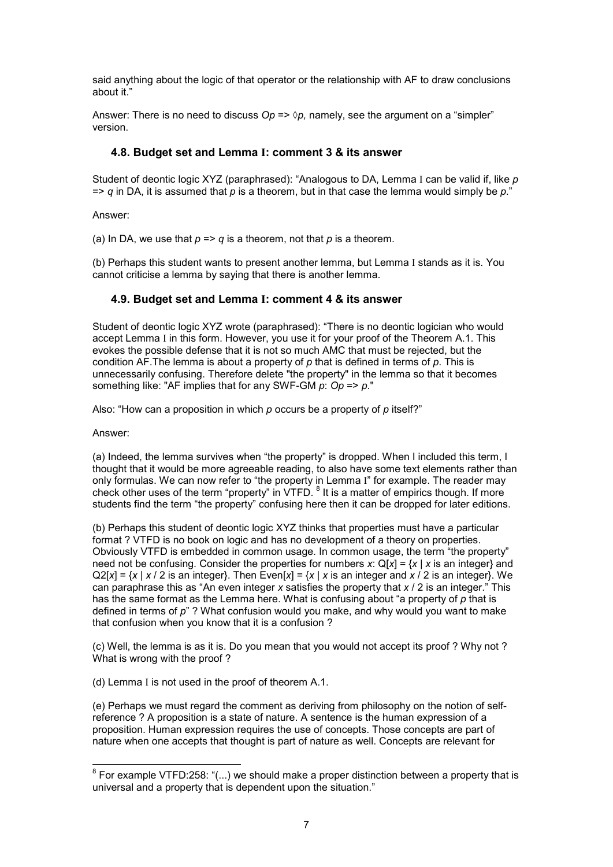said anything about the logic of that operator or the relationship with AF to draw conclusions about it."

Answer: There is no need to discuss  $Op \Rightarrow \Diamond p$ , namely, see the argument on a "simpler" version.

#### **4.8. Budget set and Lemma I: comment 3 & its answer**

Student of deontic logic XYZ (paraphrased): "Analogous to DA, Lemma I can be valid if, like *p*  $\Rightarrow$  *q* in DA, it is assumed that *p* is a theorem, but in that case the lemma would simply be *p*."

Answer:

(a) In DA, we use that  $p \Rightarrow q$  is a theorem, not that  $p$  is a theorem.

(b) Perhaps this student wants to present another lemma, but Lemma I stands as it is. You cannot criticise a lemma by saying that there is another lemma.

#### **4.9. Budget set and Lemma I: comment 4 & its answer**

Student of deontic logic XYZ wrote (paraphrased): "There is no deontic logician who would accept Lemma I in this form. However, you use it for your proof of the Theorem A.1. This evokes the possible defense that it is not so much AMC that must be rejected, but the condition AF.The lemma is about a property of *p* that is defined in terms of *p*. This is unnecessarily confusing. Therefore delete "the property" in the lemma so that it becomes something like: "AF implies that for any SWF-GM *p*: *Op* => *p*."

Also: "How can a proposition in which *p* occurs be a property of *p* itself?"

Answer:

(a) Indeed, the lemma survives when "the property" is dropped. When I included this term, I thought that it would be more agreeable reading, to also have some text elements rather than only formulas. We can now refer to "the property in Lemma I" for example. The reader may check other uses of the term "property" in VTFD. <sup>8</sup> It is a matter of empirics though. If more students find the term "the property" confusing here then it can be dropped for later editions.

(b) Perhaps this student of deontic logic XYZ thinks that properties must have a particular format ? VTFD is no book on logic and has no development of a theory on properties. Obviously VTFD is embedded in common usage. In common usage, the term "the property" need not be confusing. Consider the properties for numbers *x*: Q[*x*] = {*x* | *x* is an integer} and  $Q2[x] = \{x \mid x / 2$  is an integer}. Then Even[x] =  $\{x \mid x \text{ is an integer and } x / 2 \text{ is an integer}\}$ . We can paraphrase this as "An even integer *x* satisfies the property that *x* / 2 is an integer." This has the same format as the Lemma here. What is confusing about "a property of *p* that is defined in terms of *p*" ? What confusion would you make, and why would you want to make that confusion when you know that it is a confusion ?

(c) Well, the lemma is as it is. Do you mean that you would not accept its proof ? Why not ? What is wrong with the proof ?

(d) Lemma I is not used in the proof of theorem A.1.

(e) Perhaps we must regard the comment as deriving from philosophy on the notion of selfreference ? A proposition is a state of nature. A sentence is the human expression of a proposition. Human expression requires the use of concepts. Those concepts are part of nature when one accepts that thought is part of nature as well. Concepts are relevant for

 8 For example VTFD:258: "(...) we should make a proper distinction between a property that is universal and a property that is dependent upon the situation."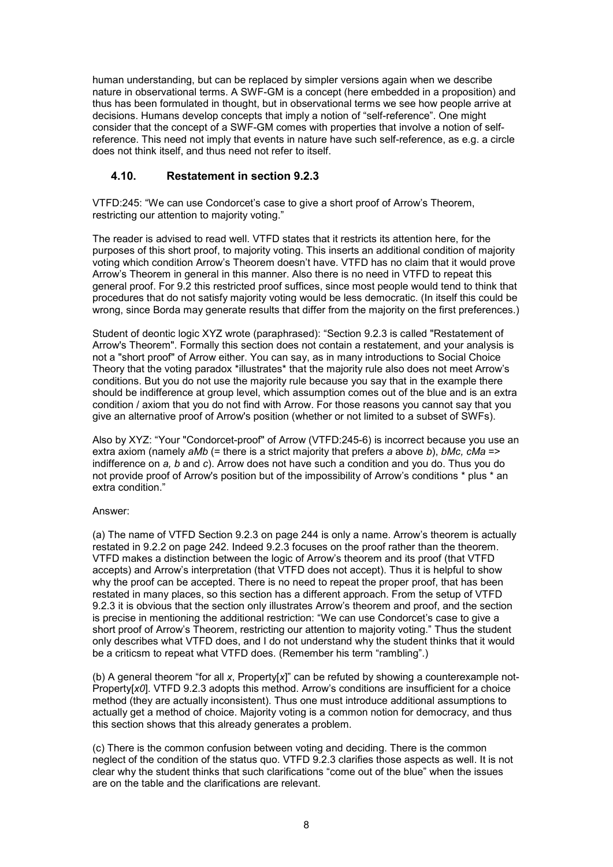human understanding, but can be replaced by simpler versions again when we describe nature in observational terms. A SWF-GM is a concept (here embedded in a proposition) and thus has been formulated in thought, but in observational terms we see how people arrive at decisions. Humans develop concepts that imply a notion of "self-reference". One might consider that the concept of a SWF-GM comes with properties that involve a notion of selfreference. This need not imply that events in nature have such self-reference, as e.g. a circle does not think itself, and thus need not refer to itself.

#### **4.10. Restatement in section 9.2.3**

VTFD:245: "We can use Condorcet's case to give a short proof of Arrow's Theorem, restricting our attention to majority voting."

The reader is advised to read well. VTFD states that it restricts its attention here, for the purposes of this short proof, to majority voting. This inserts an additional condition of majority voting which condition Arrow's Theorem doesn't have. VTFD has no claim that it would prove Arrow's Theorem in general in this manner. Also there is no need in VTFD to repeat this general proof. For 9.2 this restricted proof suffices, since most people would tend to think that procedures that do not satisfy majority voting would be less democratic. (In itself this could be wrong, since Borda may generate results that differ from the majority on the first preferences.)

Student of deontic logic XYZ wrote (paraphrased): "Section 9.2.3 is called "Restatement of Arrow's Theorem". Formally this section does not contain a restatement, and your analysis is not a "short proof" of Arrow either. You can say, as in many introductions to Social Choice Theory that the voting paradox \*illustrates\* that the majority rule also does not meet Arrow's conditions. But you do not use the majority rule because you say that in the example there should be indifference at group level, which assumption comes out of the blue and is an extra condition / axiom that you do not find with Arrow. For those reasons you cannot say that you give an alternative proof of Arrow's position (whether or not limited to a subset of SWFs).

Also by XYZ: "Your "Condorcet-proof" of Arrow (VTFD:245-6) is incorrect because you use an extra axiom (namely *aMb* (= there is a strict majority that prefers *a* above *b*), *bMc, cMa* => indifference on *a, b* and *c*). Arrow does not have such a condition and you do. Thus you do not provide proof of Arrow's position but of the impossibility of Arrow's conditions \* plus \* an extra condition."

#### Answer:

(a) The name of VTFD Section 9.2.3 on page 244 is only a name. Arrow's theorem is actually restated in 9.2.2 on page 242. Indeed 9.2.3 focuses on the proof rather than the theorem. VTFD makes a distinction between the logic of Arrow's theorem and its proof (that VTFD accepts) and Arrow's interpretation (that VTFD does not accept). Thus it is helpful to show why the proof can be accepted. There is no need to repeat the proper proof, that has been restated in many places, so this section has a different approach. From the setup of VTFD 9.2.3 it is obvious that the section only illustrates Arrow's theorem and proof, and the section is precise in mentioning the additional restriction: "We can use Condorcet's case to give a short proof of Arrow's Theorem, restricting our attention to majority voting." Thus the student only describes what VTFD does, and I do not understand why the student thinks that it would be a criticsm to repeat what VTFD does. (Remember his term "rambling".)

(b) A general theorem "for all *x*, Property[*x*]" can be refuted by showing a counterexample not-Property[*x0*]. VTFD 9.2.3 adopts this method. Arrow's conditions are insufficient for a choice method (they are actually inconsistent). Thus one must introduce additional assumptions to actually get a method of choice. Majority voting is a common notion for democracy, and thus this section shows that this already generates a problem.

(c) There is the common confusion between voting and deciding. There is the common neglect of the condition of the status quo. VTFD 9.2.3 clarifies those aspects as well. It is not clear why the student thinks that such clarifications "come out of the blue" when the issues are on the table and the clarifications are relevant.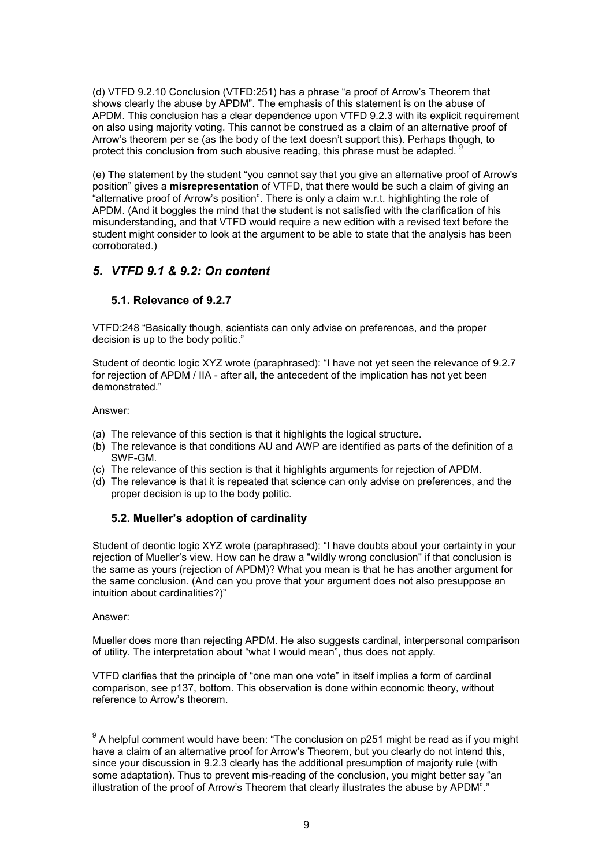(d) VTFD 9.2.10 Conclusion (VTFD:251) has a phrase "a proof of Arrow's Theorem that shows clearly the abuse by APDM". The emphasis of this statement is on the abuse of APDM. This conclusion has a clear dependence upon VTFD 9.2.3 with its explicit requirement on also using majority voting. This cannot be construed as a claim of an alternative proof of Arrow's theorem per se (as the body of the text doesn't support this). Perhaps though, to protect this conclusion from such abusive reading, this phrase must be adapted. <sup>9</sup>

(e) The statement by the student "you cannot say that you give an alternative proof of Arrow's position" gives a **misrepresentation** of VTFD, that there would be such a claim of giving an "alternative proof of Arrow's position". There is only a claim w.r.t. highlighting the role of APDM. (And it boggles the mind that the student is not satisfied with the clarification of his misunderstanding, and that VTFD would require a new edition with a revised text before the student might consider to look at the argument to be able to state that the analysis has been corroborated.)

## *5. VTFD 9.1 & 9.2: On content*

## **5.1. Relevance of 9.2.7**

VTFD:248 "Basically though, scientists can only advise on preferences, and the proper decision is up to the body politic."

Student of deontic logic XYZ wrote (paraphrased): "I have not yet seen the relevance of 9.2.7 for rejection of APDM / IIA - after all, the antecedent of the implication has not yet been demonstrated."

Answer:

- (a) The relevance of this section is that it highlights the logical structure.
- (b) The relevance is that conditions AU and AWP are identified as parts of the definition of a SWF-GM.
- (c) The relevance of this section is that it highlights arguments for rejection of APDM.
- (d) The relevance is that it is repeated that science can only advise on preferences, and the proper decision is up to the body politic.

## **5.2. Mueller's adoption of cardinality**

Student of deontic logic XYZ wrote (paraphrased): "I have doubts about your certainty in your rejection of Mueller's view. How can he draw a "wildly wrong conclusion" if that conclusion is the same as yours (rejection of APDM)? What you mean is that he has another argument for the same conclusion. (And can you prove that your argument does not also presuppose an intuition about cardinalities?)"

Answer:

Mueller does more than rejecting APDM. He also suggests cardinal, interpersonal comparison of utility. The interpretation about "what I would mean", thus does not apply.

VTFD clarifies that the principle of "one man one vote" in itself implies a form of cardinal comparison, see p137, bottom. This observation is done within economic theory, without reference to Arrow's theorem.

 9 A helpful comment would have been: "The conclusion on p251 might be read as if you might have a claim of an alternative proof for Arrow's Theorem, but you clearly do not intend this, since your discussion in 9.2.3 clearly has the additional presumption of majority rule (with some adaptation). Thus to prevent mis-reading of the conclusion, you might better say "an illustration of the proof of Arrow's Theorem that clearly illustrates the abuse by APDM"."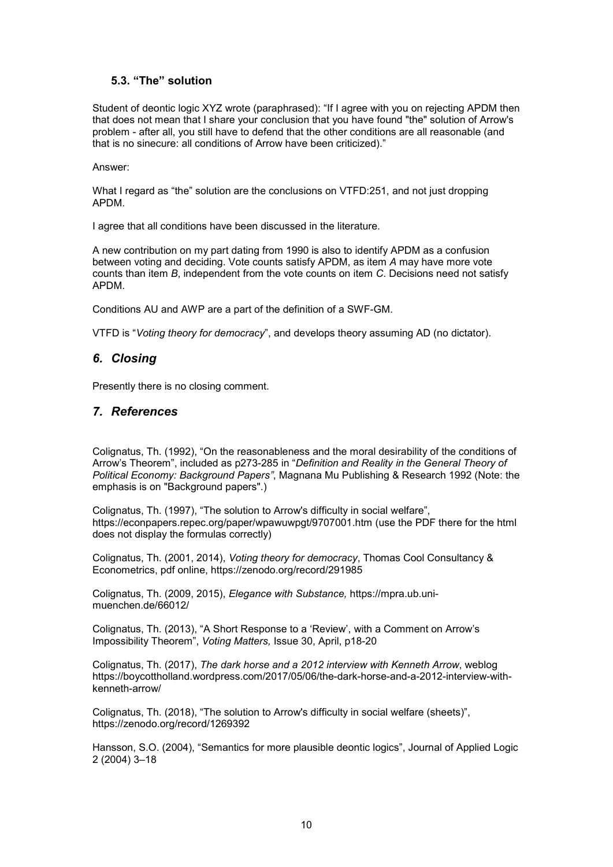#### **5.3. "The" solution**

Student of deontic logic XYZ wrote (paraphrased): "If I agree with you on rejecting APDM then that does not mean that I share your conclusion that you have found "the" solution of Arrow's problem - after all, you still have to defend that the other conditions are all reasonable (and that is no sinecure: all conditions of Arrow have been criticized)."

#### Answer:

What I regard as "the" solution are the conclusions on VTFD:251, and not just dropping APDM.

I agree that all conditions have been discussed in the literature.

A new contribution on my part dating from 1990 is also to identify APDM as a confusion between voting and deciding. Vote counts satisfy APDM, as item *A* may have more vote counts than item *B*, independent from the vote counts on item *C*. Decisions need not satisfy APDM.

Conditions AU and AWP are a part of the definition of a SWF-GM.

VTFD is "*Voting theory for democracy*", and develops theory assuming AD (no dictator).

## *6. Closing*

Presently there is no closing comment.

## *7. References*

Colignatus, Th. (1992), "On the reasonableness and the moral desirability of the conditions of Arrow's Theorem", included as p273-285 in "*Definition and Reality in the General Theory of Political Economy: Background Papers"*, Magnana Mu Publishing & Research 1992 (Note: the emphasis is on "Background papers".)

Colignatus, Th. (1997), "The solution to Arrow's difficulty in social welfare", https://econpapers.repec.org/paper/wpawuwpgt/9707001.htm (use the PDF there for the html does not display the formulas correctly)

Colignatus, Th. (2001, 2014), *Voting theory for democracy*, Thomas Cool Consultancy & Econometrics, pdf online, https://zenodo.org/record/291985

Colignatus, Th. (2009, 2015), *Elegance with Substance,* https://mpra.ub.unimuenchen.de/66012/

Colignatus, Th. (2013), "A Short Response to a 'Review', with a Comment on Arrow's Impossibility Theorem", *Voting Matters,* Issue 30, April, p18-20

Colignatus, Th. (2017), *The dark horse and a 2012 interview with Kenneth Arrow*, weblog https://boycottholland.wordpress.com/2017/05/06/the-dark-horse-and-a-2012-interview-withkenneth-arrow/

Colignatus, Th. (2018), "The solution to Arrow's difficulty in social welfare (sheets)", https://zenodo.org/record/1269392

Hansson, S.O. (2004), "Semantics for more plausible deontic logics", Journal of Applied Logic 2 (2004) 3–18